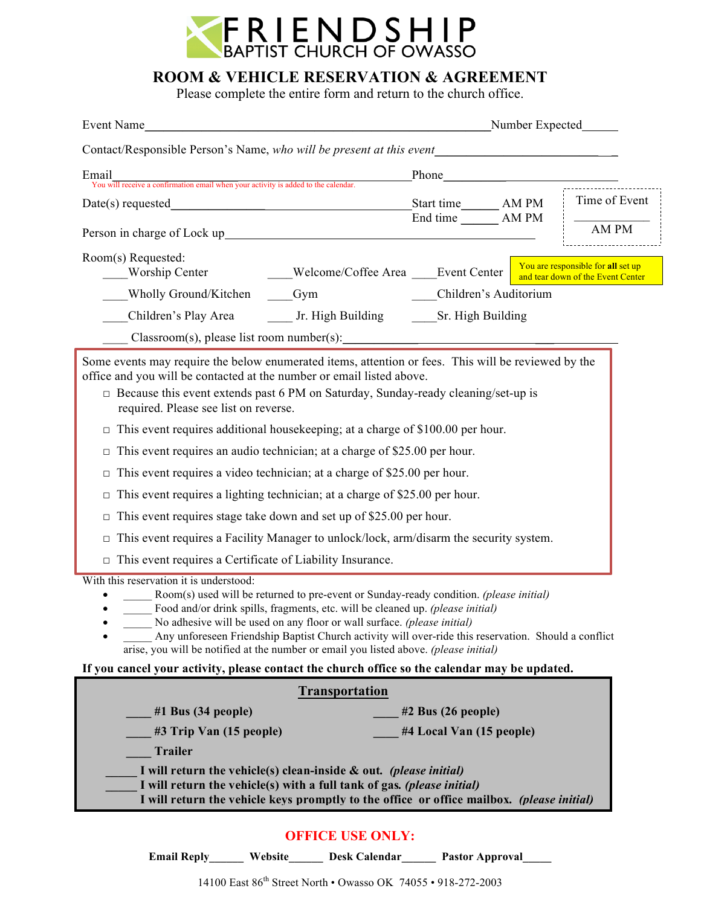

## **ROOM & VEHICLE RESERVATION & AGREEMENT**

Please complete the entire form and return to the church office.

| Event Name                                                                                                                                                                                                                                                                                                                                                                                                                                                                                                                                                                                                                                                                                                                                                                                                                                                                                                                                                                                                                                                                                                                                                                                                                                                                                                                                                                                                                                      | Number Expected                                    |  |                                                                         |
|-------------------------------------------------------------------------------------------------------------------------------------------------------------------------------------------------------------------------------------------------------------------------------------------------------------------------------------------------------------------------------------------------------------------------------------------------------------------------------------------------------------------------------------------------------------------------------------------------------------------------------------------------------------------------------------------------------------------------------------------------------------------------------------------------------------------------------------------------------------------------------------------------------------------------------------------------------------------------------------------------------------------------------------------------------------------------------------------------------------------------------------------------------------------------------------------------------------------------------------------------------------------------------------------------------------------------------------------------------------------------------------------------------------------------------------------------|----------------------------------------------------|--|-------------------------------------------------------------------------|
| Contact/Responsible Person's Name, who will be present at this event_____________                                                                                                                                                                                                                                                                                                                                                                                                                                                                                                                                                                                                                                                                                                                                                                                                                                                                                                                                                                                                                                                                                                                                                                                                                                                                                                                                                               |                                                    |  |                                                                         |
| Email<br>Triariant and triarch and triarch with the Source of the calendar.<br>You will receive a confirmation email when your activity is added to the calendar.                                                                                                                                                                                                                                                                                                                                                                                                                                                                                                                                                                                                                                                                                                                                                                                                                                                                                                                                                                                                                                                                                                                                                                                                                                                                               | Phone                                              |  |                                                                         |
| $Date(s)$ requested<br><u> 1980 - Johann John Stone, meil in der Stone besteht der Stone besteht der Stone besteht der Stone besteht der</u>                                                                                                                                                                                                                                                                                                                                                                                                                                                                                                                                                                                                                                                                                                                                                                                                                                                                                                                                                                                                                                                                                                                                                                                                                                                                                                    | Start time AM PM                                   |  | Time of Event                                                           |
|                                                                                                                                                                                                                                                                                                                                                                                                                                                                                                                                                                                                                                                                                                                                                                                                                                                                                                                                                                                                                                                                                                                                                                                                                                                                                                                                                                                                                                                 | End time AM PM                                     |  | AM PM                                                                   |
| Room(s) Requested:<br>Welcome/Coffee Area ____Event Center<br><b>Worship Center</b>                                                                                                                                                                                                                                                                                                                                                                                                                                                                                                                                                                                                                                                                                                                                                                                                                                                                                                                                                                                                                                                                                                                                                                                                                                                                                                                                                             |                                                    |  | You are responsible for all set up<br>and tear down of the Event Center |
| Wholly Ground/Kitchen<br>Gym                                                                                                                                                                                                                                                                                                                                                                                                                                                                                                                                                                                                                                                                                                                                                                                                                                                                                                                                                                                                                                                                                                                                                                                                                                                                                                                                                                                                                    | Children's Auditorium                              |  |                                                                         |
| Children's Play Area _________ Jr. High Building ________ Sr. High Building                                                                                                                                                                                                                                                                                                                                                                                                                                                                                                                                                                                                                                                                                                                                                                                                                                                                                                                                                                                                                                                                                                                                                                                                                                                                                                                                                                     |                                                    |  |                                                                         |
|                                                                                                                                                                                                                                                                                                                                                                                                                                                                                                                                                                                                                                                                                                                                                                                                                                                                                                                                                                                                                                                                                                                                                                                                                                                                                                                                                                                                                                                 |                                                    |  |                                                                         |
| Some events may require the below enumerated items, attention or fees. This will be reviewed by the<br>office and you will be contacted at the number or email listed above.<br>$\Box$ Because this event extends past 6 PM on Saturday, Sunday-ready cleaning/set-up is<br>required. Please see list on reverse.<br>This event requires additional housekeeping; at a charge of \$100.00 per hour.<br>$\Box$<br>This event requires an audio technician; at a charge of \$25.00 per hour.<br>$\Box$<br>This event requires a video technician; at a charge of \$25.00 per hour.<br>$\Box$<br>This event requires a lighting technician; at a charge of \$25.00 per hour.<br>$\Box$<br>This event requires stage take down and set up of \$25.00 per hour.<br>$\Box$<br>This event requires a Facility Manager to unlock/lock, arm/disarm the security system.<br>$\Box$<br>$\Box$ This event requires a Certificate of Liability Insurance.<br>With this reservation it is understood:<br>Room(s) used will be returned to pre-event or Sunday-ready condition. (please initial)<br>Food and/or drink spills, fragments, etc. will be cleaned up. (please initial)<br>No adhesive will be used on any floor or wall surface. (please initial)<br>Any unforeseen Friendship Baptist Church activity will over-ride this reservation. Should a conflict<br>arise, you will be notified at the number or email you listed above. (please initial) |                                                    |  |                                                                         |
| If you cancel your activity, please contact the church office so the calendar may be updated.                                                                                                                                                                                                                                                                                                                                                                                                                                                                                                                                                                                                                                                                                                                                                                                                                                                                                                                                                                                                                                                                                                                                                                                                                                                                                                                                                   |                                                    |  |                                                                         |
| <b>Transportation</b>                                                                                                                                                                                                                                                                                                                                                                                                                                                                                                                                                                                                                                                                                                                                                                                                                                                                                                                                                                                                                                                                                                                                                                                                                                                                                                                                                                                                                           |                                                    |  |                                                                         |
| $#1$ Bus $(34$ people)<br>#3 Trip Van (15 people)<br><b>Trailer</b><br>I will return the vehicle(s) clean-inside $\&$ out. (please initial)<br>I will return the vehicle(s) with a full tank of gas. (please initial)                                                                                                                                                                                                                                                                                                                                                                                                                                                                                                                                                                                                                                                                                                                                                                                                                                                                                                                                                                                                                                                                                                                                                                                                                           | $#2$ Bus $(26$ people)<br>#4 Local Van (15 people) |  |                                                                         |
| I will return the vehicle keys promptly to the office or office mailbox. (please initial)                                                                                                                                                                                                                                                                                                                                                                                                                                                                                                                                                                                                                                                                                                                                                                                                                                                                                                                                                                                                                                                                                                                                                                                                                                                                                                                                                       |                                                    |  |                                                                         |

## **OFFICE USE ONLY:**

**Email Reply\_\_\_\_\_\_ Website\_\_\_\_\_\_ Desk Calendar\_\_\_\_\_\_ Pastor Approval\_\_\_\_\_**